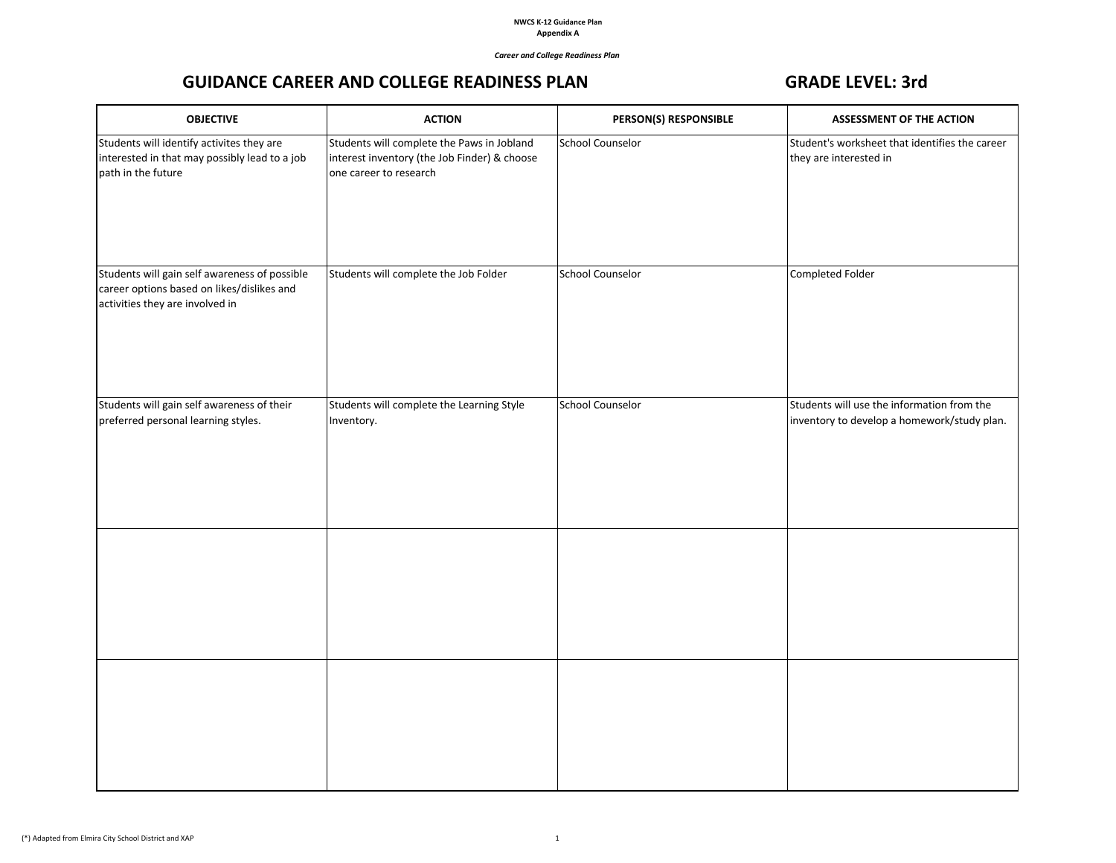## *Career and College Readiness Plan*

## GUIDANCE CAREER AND COLLEGE READINESS PLAN GRADE LEVEL: 3rd

| <b>OBJECTIVE</b>                                                                                                               | <b>ACTION</b>                                                                                                        | PERSON(S) RESPONSIBLE   | ASSESSMENT OF THE ACTION                                                                  |
|--------------------------------------------------------------------------------------------------------------------------------|----------------------------------------------------------------------------------------------------------------------|-------------------------|-------------------------------------------------------------------------------------------|
| Students will identify activites they are<br>interested in that may possibly lead to a job<br>path in the future               | Students will complete the Paws in Jobland<br>interest inventory (the Job Finder) & choose<br>one career to research | <b>School Counselor</b> | Student's worksheet that identifies the career<br>they are interested in                  |
| Students will gain self awareness of possible<br>career options based on likes/dislikes and<br>activities they are involved in | Students will complete the Job Folder                                                                                | <b>School Counselor</b> | Completed Folder                                                                          |
| Students will gain self awareness of their<br>preferred personal learning styles.                                              | Students will complete the Learning Style<br>Inventory.                                                              | <b>School Counselor</b> | Students will use the information from the<br>inventory to develop a homework/study plan. |
|                                                                                                                                |                                                                                                                      |                         |                                                                                           |
|                                                                                                                                |                                                                                                                      |                         |                                                                                           |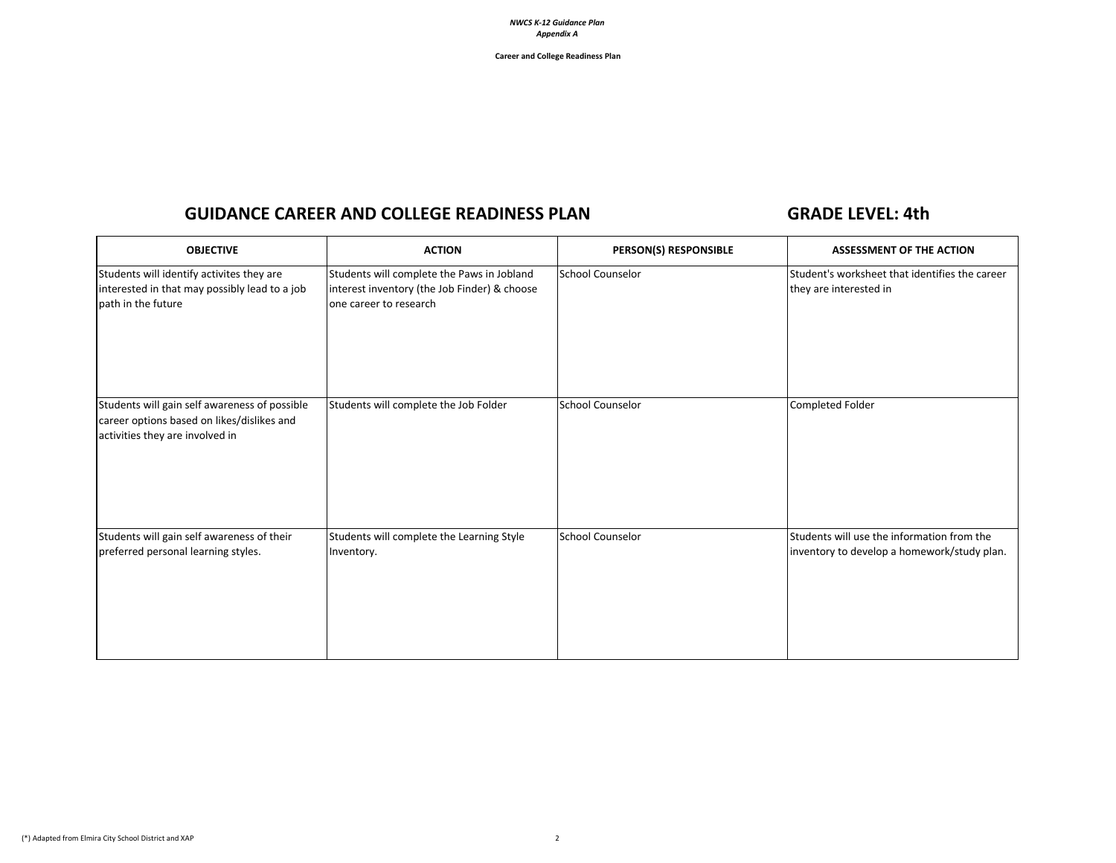**Career and College Readiness Plan**

# GUIDANCE CAREER AND COLLEGE READINESS PLAN GRADE LEVEL: 4th

| <b>OBJECTIVE</b>                                                                                                               | <b>ACTION</b>                                                                                                        | PERSON(S) RESPONSIBLE   | <b>ASSESSMENT OF THE ACTION</b>                                                           |
|--------------------------------------------------------------------------------------------------------------------------------|----------------------------------------------------------------------------------------------------------------------|-------------------------|-------------------------------------------------------------------------------------------|
| Students will identify activites they are<br>interested in that may possibly lead to a job<br>path in the future               | Students will complete the Paws in Jobland<br>interest inventory (the Job Finder) & choose<br>one career to research | <b>School Counselor</b> | Student's worksheet that identifies the career<br>they are interested in                  |
| Students will gain self awareness of possible<br>career options based on likes/dislikes and<br>activities they are involved in | Students will complete the Job Folder                                                                                | <b>School Counselor</b> | Completed Folder                                                                          |
| Students will gain self awareness of their<br>preferred personal learning styles.                                              | Students will complete the Learning Style<br>Inventory.                                                              | <b>School Counselor</b> | Students will use the information from the<br>inventory to develop a homework/study plan. |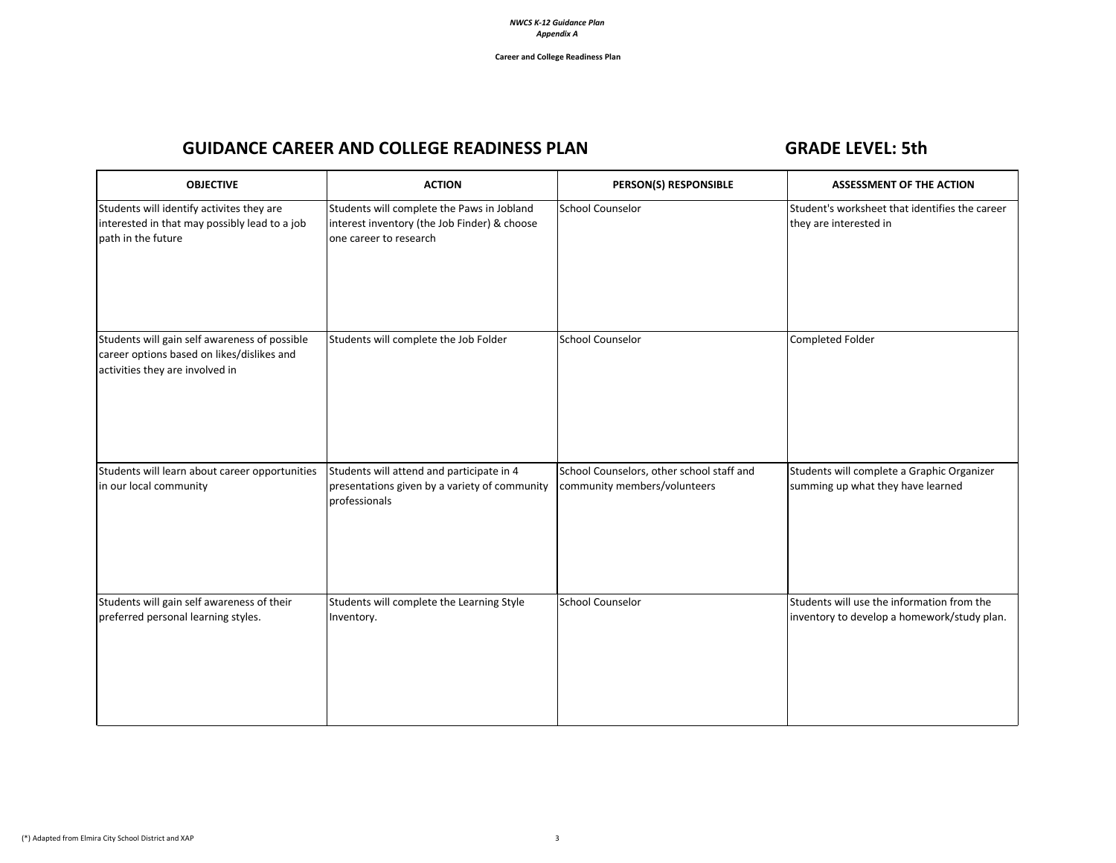# GUIDANCE CAREER AND COLLEGE READINESS PLAN GRADE LEVEL: 5th

| <b>OBJECTIVE</b>                                                                                                               | <b>ACTION</b>                                                                                                        | PERSON(S) RESPONSIBLE                                                     | <b>ASSESSMENT OF THE ACTION</b>                                                           |
|--------------------------------------------------------------------------------------------------------------------------------|----------------------------------------------------------------------------------------------------------------------|---------------------------------------------------------------------------|-------------------------------------------------------------------------------------------|
| Students will identify activites they are<br>interested in that may possibly lead to a job<br>path in the future               | Students will complete the Paws in Jobland<br>interest inventory (the Job Finder) & choose<br>one career to research | School Counselor                                                          | Student's worksheet that identifies the career<br>they are interested in                  |
| Students will gain self awareness of possible<br>career options based on likes/dislikes and<br>activities they are involved in | Students will complete the Job Folder                                                                                | School Counselor                                                          | Completed Folder                                                                          |
| Students will learn about career opportunities<br>in our local community                                                       | Students will attend and participate in 4<br>presentations given by a variety of community<br>professionals          | School Counselors, other school staff and<br>community members/volunteers | Students will complete a Graphic Organizer<br>summing up what they have learned           |
| Students will gain self awareness of their<br>preferred personal learning styles.                                              | Students will complete the Learning Style<br>Inventory.                                                              | <b>School Counselor</b>                                                   | Students will use the information from the<br>inventory to develop a homework/study plan. |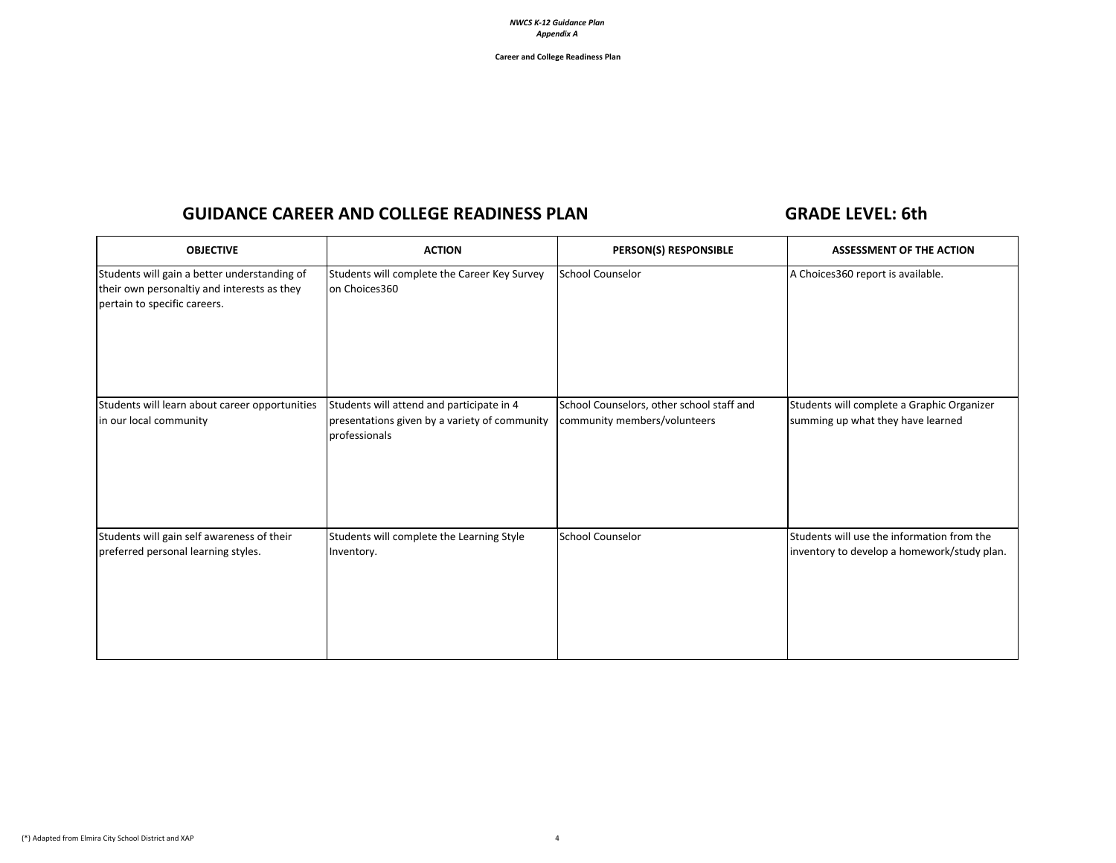**Career and College Readiness Plan**

## GUIDANCE CAREER AND COLLEGE READINESS PLAN GALLERY AND GRADE LEVEL: 6th

| <b>OBJECTIVE</b>                                                                                                            | <b>ACTION</b>                                                                                               | <b>PERSON(S) RESPONSIBLE</b>                                              | <b>ASSESSMENT OF THE ACTION</b>                                                           |
|-----------------------------------------------------------------------------------------------------------------------------|-------------------------------------------------------------------------------------------------------------|---------------------------------------------------------------------------|-------------------------------------------------------------------------------------------|
| Students will gain a better understanding of<br>their own personaltiy and interests as they<br>pertain to specific careers. | Students will complete the Career Key Survey<br>on Choices360                                               | <b>School Counselor</b>                                                   | A Choices360 report is available.                                                         |
| Students will learn about career opportunities<br>in our local community                                                    | Students will attend and participate in 4<br>presentations given by a variety of community<br>professionals | School Counselors, other school staff and<br>community members/volunteers | Students will complete a Graphic Organizer<br>summing up what they have learned           |
| Students will gain self awareness of their<br>preferred personal learning styles.                                           | Students will complete the Learning Style<br>Inventory.                                                     | <b>School Counselor</b>                                                   | Students will use the information from the<br>inventory to develop a homework/study plan. |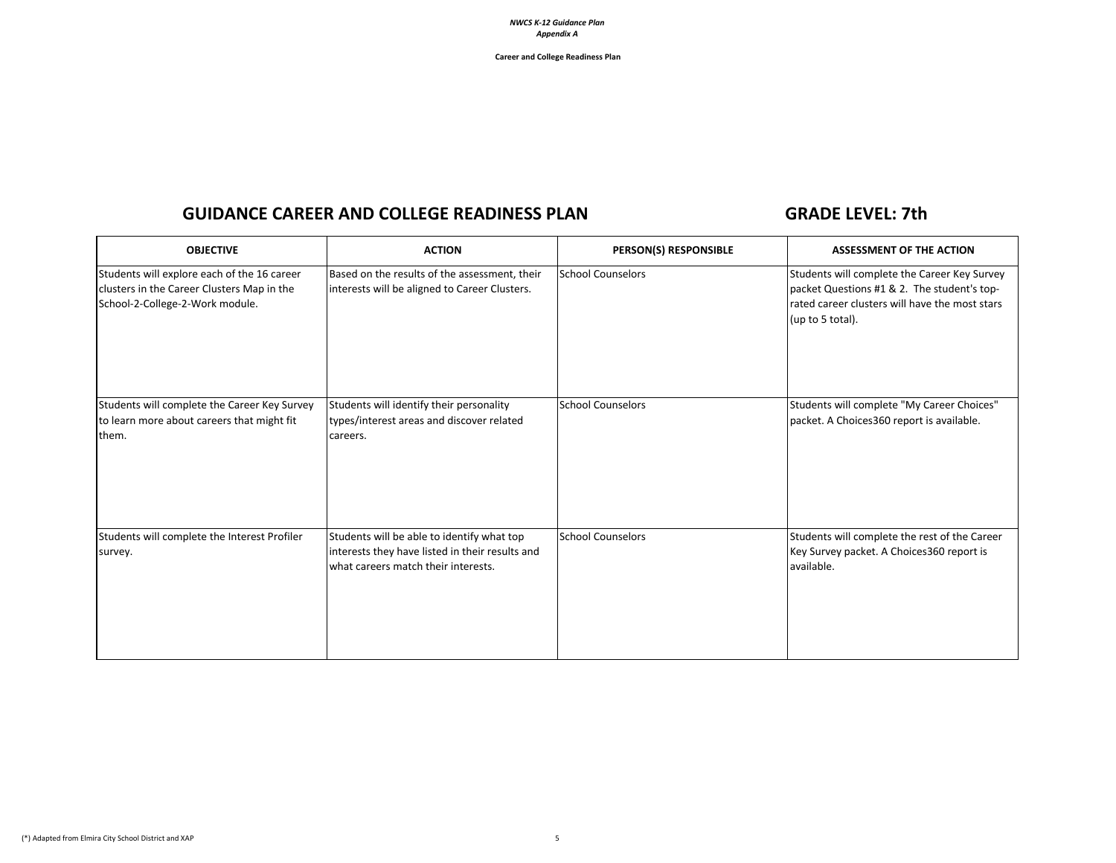**Career and College Readiness Plan**

## GUIDANCE CAREER AND COLLEGE READINESS PLAN GALLERY AND GRADE LEVEL: 7th

| <b>OBJECTIVE</b>                                                                                                             | <b>ACTION</b>                                                                                                                        | PERSON(S) RESPONSIBLE    | <b>ASSESSMENT OF THE ACTION</b>                                                                                                                                   |
|------------------------------------------------------------------------------------------------------------------------------|--------------------------------------------------------------------------------------------------------------------------------------|--------------------------|-------------------------------------------------------------------------------------------------------------------------------------------------------------------|
| Students will explore each of the 16 career<br>clusters in the Career Clusters Map in the<br>School-2-College-2-Work module. | Based on the results of the assessment, their<br>interests will be aligned to Career Clusters.                                       | <b>School Counselors</b> | Students will complete the Career Key Survey<br>packet Questions #1 & 2. The student's top-<br>rated career clusters will have the most stars<br>(up to 5 total). |
| Students will complete the Career Key Survey<br>to learn more about careers that might fit<br>them.                          | Students will identify their personality<br>types/interest areas and discover related<br>careers.                                    | <b>School Counselors</b> | Students will complete "My Career Choices"<br>packet. A Choices360 report is available.                                                                           |
| Students will complete the Interest Profiler<br>survey.                                                                      | Students will be able to identify what top<br>interests they have listed in their results and<br>what careers match their interests. | <b>School Counselors</b> | Students will complete the rest of the Career<br>Key Survey packet. A Choices 360 report is<br>available.                                                         |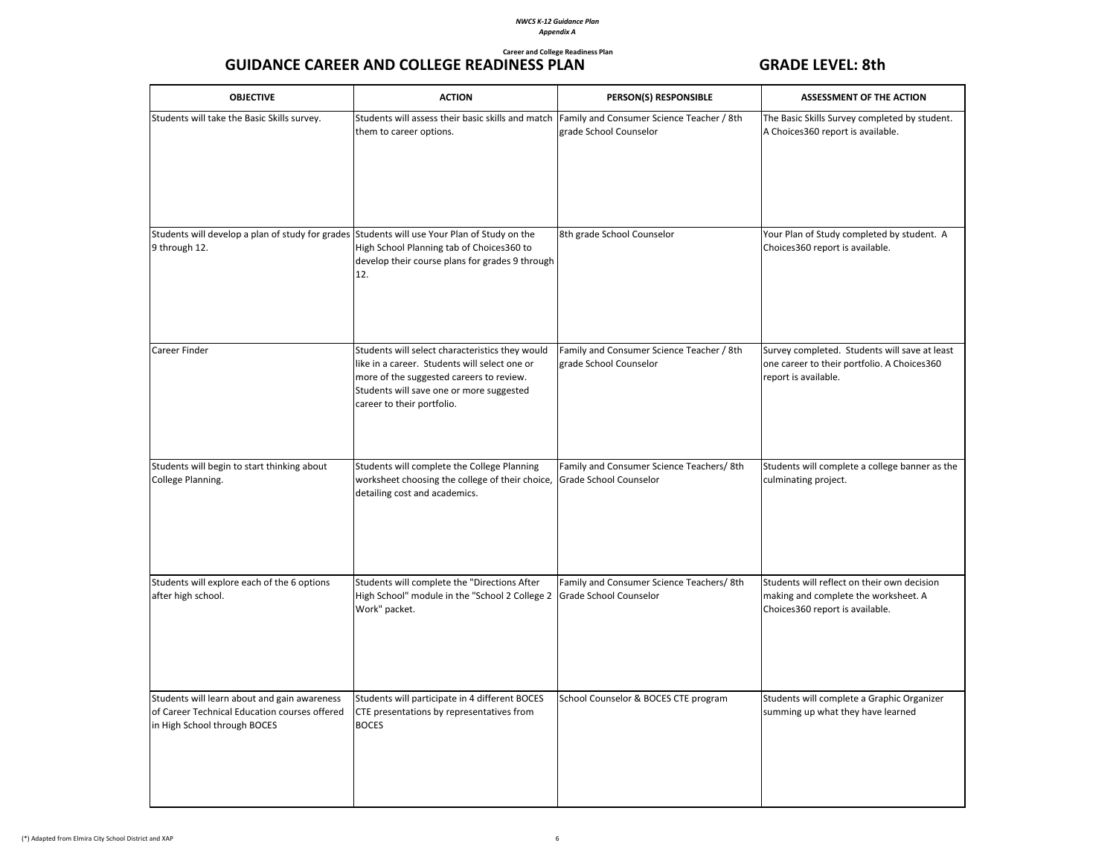## **Career and College Readiness Plan** GUIDANCE CAREER AND COLLEGE READINESS PLAN GRADE LEVEL: 8th

| <b>OBJECTIVE</b>                                                                                                              | <b>ACTION</b>                                                                                                                                                                                                          | PERSON(S) RESPONSIBLE                                               | <b>ASSESSMENT OF THE ACTION</b>                                                                                        |
|-------------------------------------------------------------------------------------------------------------------------------|------------------------------------------------------------------------------------------------------------------------------------------------------------------------------------------------------------------------|---------------------------------------------------------------------|------------------------------------------------------------------------------------------------------------------------|
| Students will take the Basic Skills survey.                                                                                   | Students will assess their basic skills and match<br>them to career options.                                                                                                                                           | Family and Consumer Science Teacher / 8th<br>grade School Counselor | The Basic Skills Survey completed by student.<br>A Choices360 report is available.                                     |
| Students will develop a plan of study for grades Students will use Your Plan of Study on the<br>9 through 12.                 | High School Planning tab of Choices360 to<br>develop their course plans for grades 9 through<br>12.                                                                                                                    | 8th grade School Counselor                                          | Your Plan of Study completed by student. A<br>Choices360 report is available.                                          |
| Career Finder                                                                                                                 | Students will select characteristics they would<br>like in a career. Students will select one or<br>more of the suggested careers to review.<br>Students will save one or more suggested<br>career to their portfolio. | Family and Consumer Science Teacher / 8th<br>grade School Counselor | Survey completed. Students will save at least<br>one career to their portfolio. A Choices360<br>report is available.   |
| Students will begin to start thinking about<br>College Planning.                                                              | Students will complete the College Planning<br>worksheet choosing the college of their choice, Grade School Counselor<br>detailing cost and academics.                                                                 | Family and Consumer Science Teachers/ 8th                           | Students will complete a college banner as the<br>culminating project.                                                 |
| Students will explore each of the 6 options<br>after high school.                                                             | Students will complete the "Directions After<br>High School" module in the "School 2 College 2 Grade School Counselor<br>Work" packet.                                                                                 | Family and Consumer Science Teachers/ 8th                           | Students will reflect on their own decision<br>making and complete the worksheet. A<br>Choices360 report is available. |
| Students will learn about and gain awareness<br>of Career Technical Education courses offered<br>in High School through BOCES | Students will participate in 4 different BOCES<br>CTE presentations by representatives from<br><b>BOCES</b>                                                                                                            | School Counselor & BOCES CTE program                                | Students will complete a Graphic Organizer<br>summing up what they have learned                                        |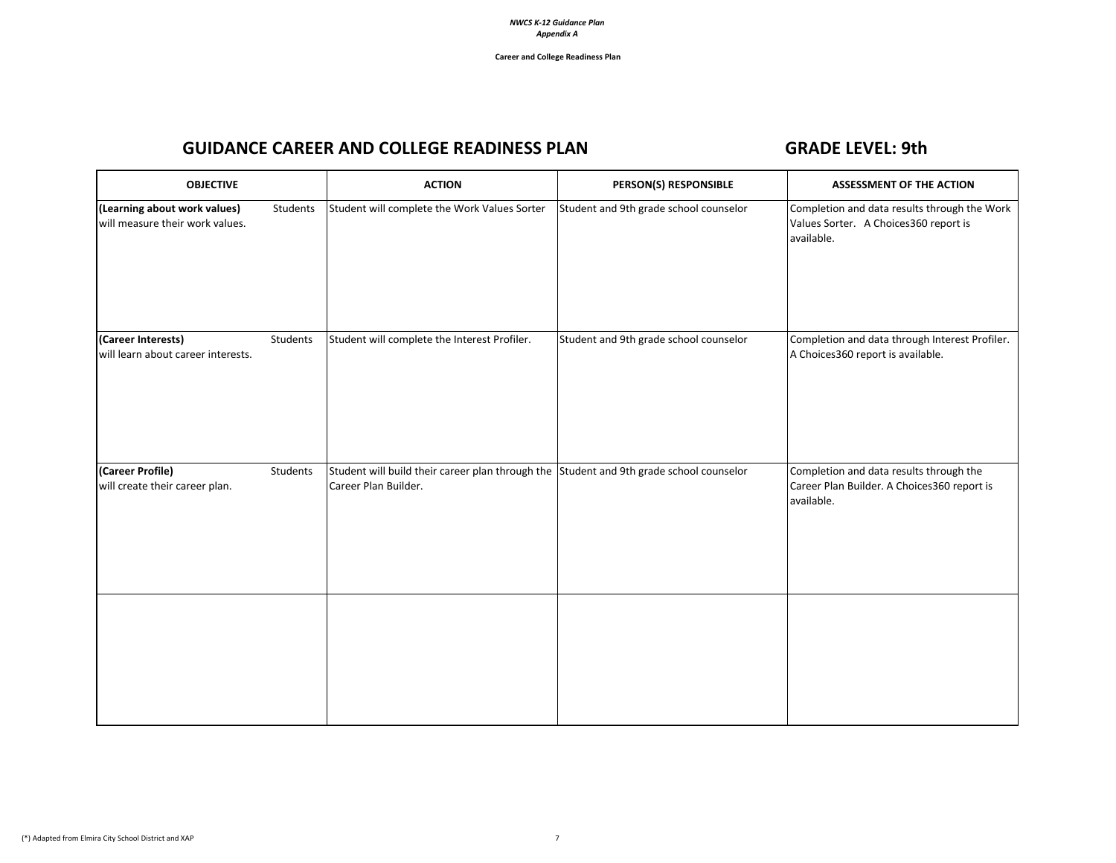# GUIDANCE CAREER AND COLLEGE READINESS PLAN GRADE LEVEL: 9th

| <b>OBJECTIVE</b>                                                |          | <b>ACTION</b>                                                                                                   | PERSON(S) RESPONSIBLE                  | <b>ASSESSMENT OF THE ACTION</b>                                                                      |
|-----------------------------------------------------------------|----------|-----------------------------------------------------------------------------------------------------------------|----------------------------------------|------------------------------------------------------------------------------------------------------|
| (Learning about work values)<br>will measure their work values. | Students | Student will complete the Work Values Sorter                                                                    | Student and 9th grade school counselor | Completion and data results through the Work<br>Values Sorter. A Choices360 report is<br>available.  |
| (Career Interests)<br>will learn about career interests.        | Students | Student will complete the Interest Profiler.                                                                    | Student and 9th grade school counselor | Completion and data through Interest Profiler.<br>A Choices360 report is available.                  |
| (Career Profile)<br>will create their career plan.              | Students | Student will build their career plan through the Student and 9th grade school counselor<br>Career Plan Builder. |                                        | Completion and data results through the<br>Career Plan Builder. A Choices360 report is<br>available. |
|                                                                 |          |                                                                                                                 |                                        |                                                                                                      |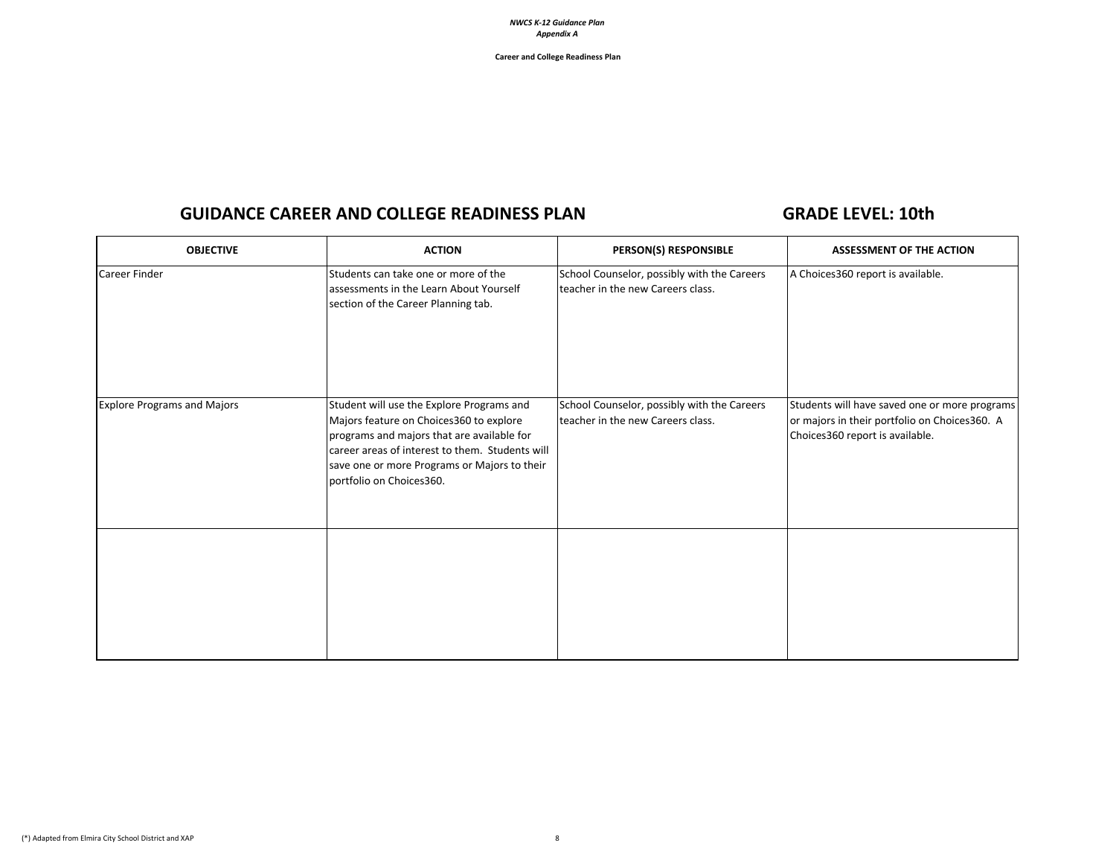**Career and College Readiness Plan**

## GUIDANCE CAREER AND COLLEGE READINESS PLAN GRADE LEVEL: 10th

| <b>OBJECTIVE</b>                   | <b>ACTION</b>                                                                                                                                                                                                                                                     | PERSON(S) RESPONSIBLE                                                            | ASSESSMENT OF THE ACTION                                                                                                          |
|------------------------------------|-------------------------------------------------------------------------------------------------------------------------------------------------------------------------------------------------------------------------------------------------------------------|----------------------------------------------------------------------------------|-----------------------------------------------------------------------------------------------------------------------------------|
| <b>Career Finder</b>               | Students can take one or more of the<br>assessments in the Learn About Yourself<br>section of the Career Planning tab.                                                                                                                                            | School Counselor, possibly with the Careers<br>teacher in the new Careers class. | A Choices360 report is available.                                                                                                 |
| <b>Explore Programs and Majors</b> | Student will use the Explore Programs and<br>Majors feature on Choices360 to explore<br>programs and majors that are available for<br>career areas of interest to them. Students will<br>save one or more Programs or Majors to their<br>portfolio on Choices360. | School Counselor, possibly with the Careers<br>teacher in the new Careers class. | Students will have saved one or more programs<br>or majors in their portfolio on Choices360. A<br>Choices360 report is available. |
|                                    |                                                                                                                                                                                                                                                                   |                                                                                  |                                                                                                                                   |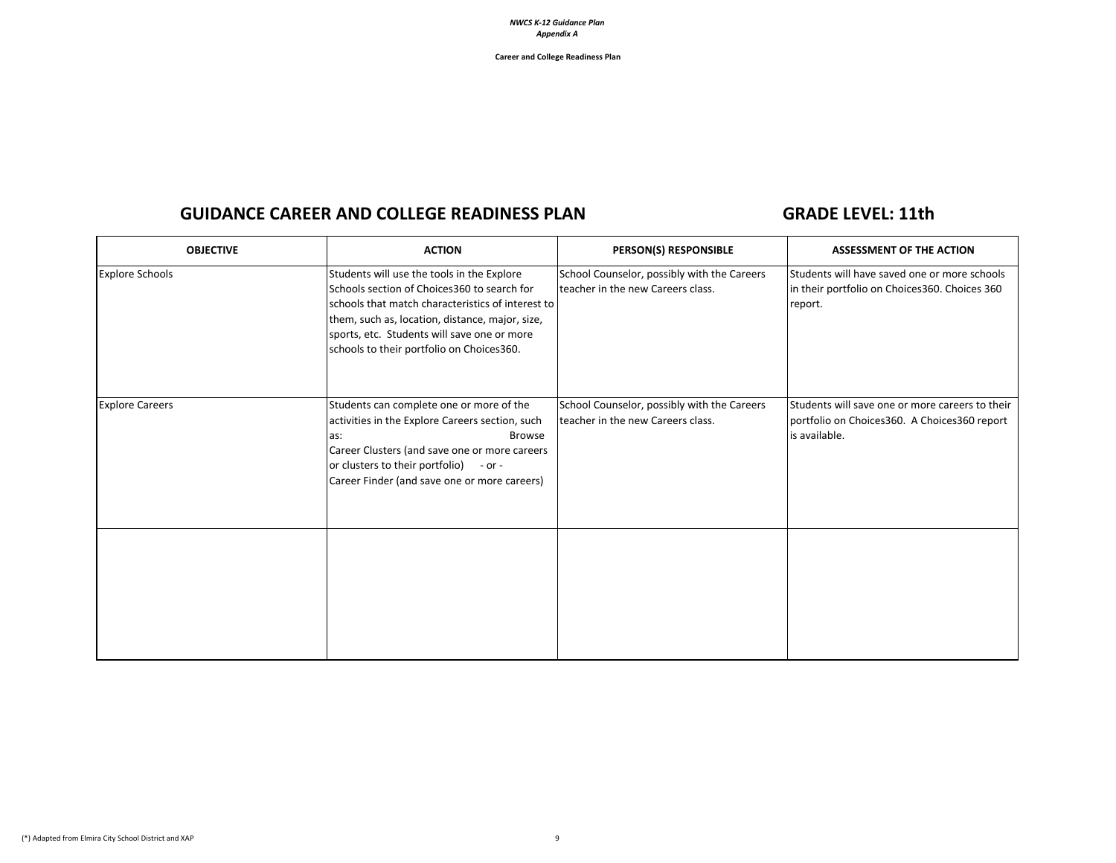**Career and College Readiness Plan**

## GUIDANCE CAREER AND COLLEGE READINESS PLAN GRADE LEVEL: 11th

| <b>OBJECTIVE</b>       | <b>ACTION</b>                                                                                                                                                                                                                                                                                  | PERSON(S) RESPONSIBLE                                                             | <b>ASSESSMENT OF THE ACTION</b>                                                                                  |
|------------------------|------------------------------------------------------------------------------------------------------------------------------------------------------------------------------------------------------------------------------------------------------------------------------------------------|-----------------------------------------------------------------------------------|------------------------------------------------------------------------------------------------------------------|
| <b>Explore Schools</b> | Students will use the tools in the Explore<br>Schools section of Choices 360 to search for<br>schools that match characteristics of interest to<br>them, such as, location, distance, major, size,<br>sports, etc. Students will save one or more<br>schools to their portfolio on Choices360. | School Counselor, possibly with the Careers<br>Iteacher in the new Careers class. | Students will have saved one or more schools<br>in their portfolio on Choices360. Choices 360<br>report.         |
| <b>Explore Careers</b> | Students can complete one or more of the<br>activities in the Explore Careers section, such<br><b>Browse</b><br>as:<br>Career Clusters (and save one or more careers<br>or clusters to their portfolio)<br>$-$ or $-$<br>Career Finder (and save one or more careers)                          | School Counselor, possibly with the Careers<br>Iteacher in the new Careers class. | Students will save one or more careers to their<br>portfolio on Choices360. A Choices360 report<br>is available. |
|                        |                                                                                                                                                                                                                                                                                                |                                                                                   |                                                                                                                  |